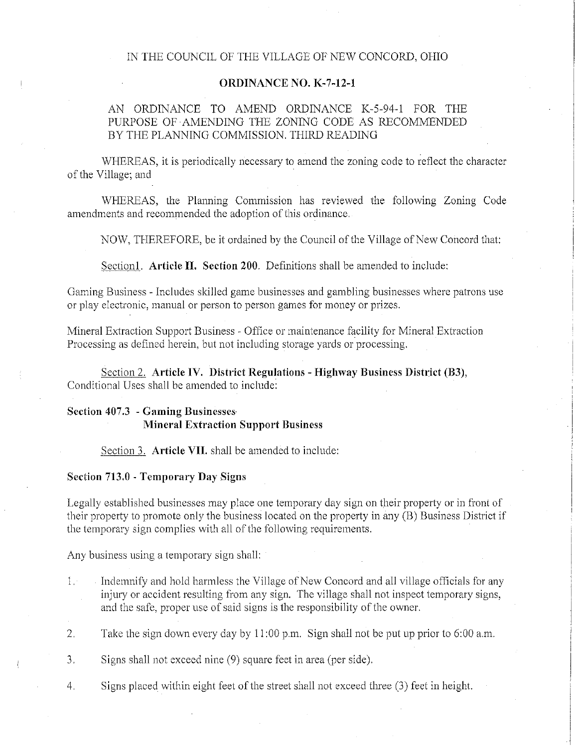### IN THE COUNCIL OF THE VILLAGE OF NEW CONCORD, OHIO

## ORDINANCE NO. K-7-12-1

# AN ORDINANCE TO AMEND ORDINANCE K-5-94-1 FOR THE PURPOSE OF AMENDING THE ZONING CODE AS RECOMMENDED BY THE PLANNING COMMISSION. THIRD READING

WHEREAS, it is periodically necessary to amend the zoning code to reflect the character of the Village; and

WHEREAS, the Planning Commission has reviewed the following Zoning Code amendments and recommended the adoption of this ordinance.

NOW, THEREFORE, be it ordained by the Council of the Village of New Concord that:

Section1. Article II. Section 200. Definitions shall be amended to include:

Gaming Business - Includes skilled game businesses and gambling businesses where patrons use or play electronic, manual or person to person games for money or prizes.

Mineral Extraction Support Business - Office or maintenance facility for Mineral Extraction Processing as defined herein, but not including storage yards or processing.

Section 2. Article IV. District Regulations - Highway Business District (B3), Conditional Uses shall be amended to include:

## Section 407.3 - Gaming Businesses· Mineral Extraction Support Business

Section 3. Article VII. shall be amended to include:

#### Section 713.0 - Temporary Day Signs

Legally established businesses may place one temporary day sign on their property or in front of their property to promote only the business located on the property in any (B) Business District if the temporary sign complies with all of the following requirements.

Any business using a temporary sign shall:

- 1. Indemnify and hold harmless the Village of New Concord and all village officials for any injury or accident resulting from any sign. The village shall not inspect temporary signs, and the safe, proper use of said signs is the responsibility of the owner.
- 2. Take the sign down every day by 11 :00 p.m. Sign shall not be put up prior to 6:00 a.m.
- 3. Signs shall not exceed nine (9) square feet in area (per side).
- 4. Signs placed within eight feet of the street shall not exceed three (3) feet in height.